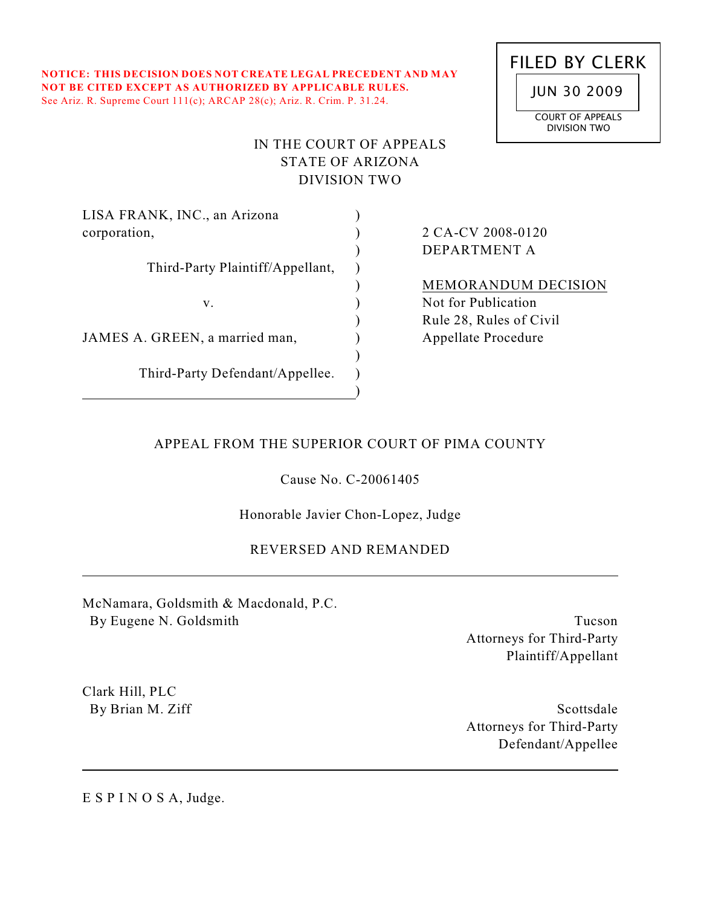**NOTICE: THIS DECISION DOES NOT CREATE LEGAL PRECEDENT AND MAY NOT BE CITED EXCEPT AS AUTHORIZED BY APPLICABLE RULES.** See Ariz. R. Supreme Court 111(c); ARCAP 28(c); Ariz. R. Crim. P. 31.24.



# IN THE COURT OF APPEALS STATE OF ARIZONA DIVISION TWO

 $\mathcal{L}$  $\lambda$  $\mathcal{L}$  $\lambda$ )  $\lambda$ )  $\lambda$ )  $\lambda$ )

LISA FRANK, INC., an Arizona corporation,

Third-Party Plaintiff/Appellant,

v.

JAMES A. GREEN, a married man,

Third-Party Defendant/Appellee.

2 CA-CV 2008-0120 DEPARTMENT A

MEMORANDUM DECISION Not for Publication Rule 28, Rules of Civil Appellate Procedure

# APPEAL FROM THE SUPERIOR COURT OF PIMA COUNTY

Cause No. C-20061405

Honorable Javier Chon-Lopez, Judge

# REVERSED AND REMANDED

McNamara, Goldsmith & Macdonald, P.C. By Eugene N. Goldsmith

Tucson Attorneys for Third-Party Plaintiff/Appellant

Clark Hill, PLC By Brian M. Ziff

Scottsdale Attorneys for Third-Party Defendant/Appellee

E S P I N O S A, Judge.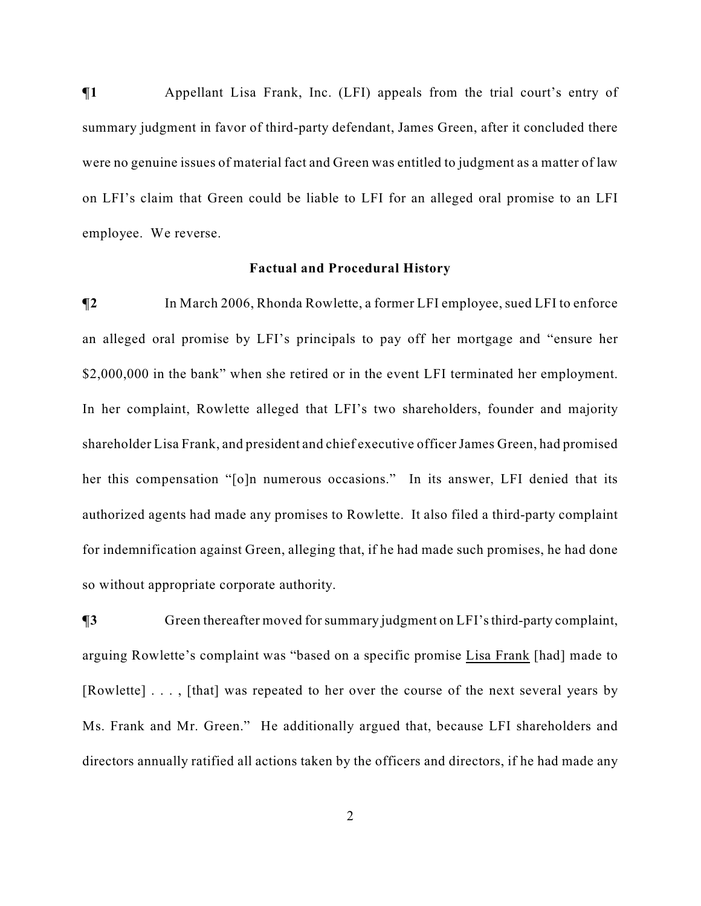$\P$ **1** Appellant Lisa Frank, Inc. (LFI) appeals from the trial court's entry of summary judgment in favor of third-party defendant, James Green, after it concluded there were no genuine issues of material fact and Green was entitled to judgment as a matter of law on LFI's claim that Green could be liable to LFI for an alleged oral promise to an LFI employee. We reverse.

#### **Factual and Procedural History**

**¶2** In March 2006, Rhonda Rowlette, a former LFI employee, sued LFI to enforce an alleged oral promise by LFI's principals to pay off her mortgage and "ensure her \$2,000,000 in the bank" when she retired or in the event LFI terminated her employment. In her complaint, Rowlette alleged that LFI's two shareholders, founder and majority shareholder Lisa Frank, and president and chief executive officer James Green, had promised her this compensation "[o]n numerous occasions." In its answer, LFI denied that its authorized agents had made any promises to Rowlette. It also filed a third-party complaint for indemnification against Green, alleging that, if he had made such promises, he had done so without appropriate corporate authority.

**¶3** Green thereafter moved for summary judgment on LFI's third-party complaint, arguing Rowlette's complaint was "based on a specific promise Lisa Frank [had] made to [Rowlette] . . . , [that] was repeated to her over the course of the next several years by Ms. Frank and Mr. Green." He additionally argued that, because LFI shareholders and directors annually ratified all actions taken by the officers and directors, if he had made any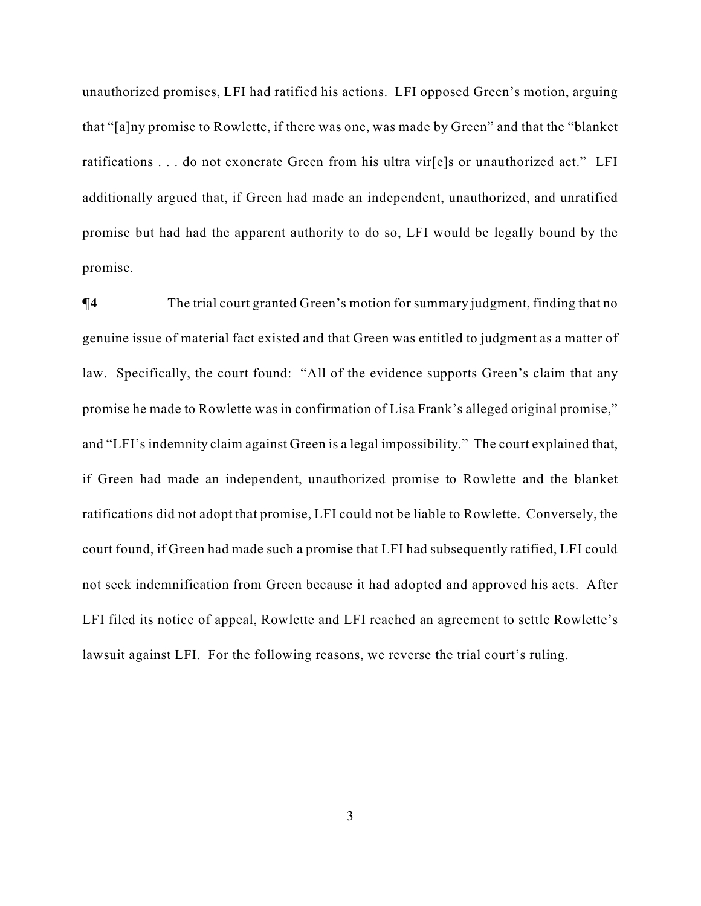unauthorized promises, LFI had ratified his actions. LFI opposed Green's motion, arguing that "[a]ny promise to Rowlette, if there was one, was made by Green" and that the "blanket ratifications . . . do not exonerate Green from his ultra vir[e]s or unauthorized act." LFI additionally argued that, if Green had made an independent, unauthorized, and unratified promise but had had the apparent authority to do so, LFI would be legally bound by the promise.

 $\P$ **4** The trial court granted Green's motion for summary judgment, finding that no genuine issue of material fact existed and that Green was entitled to judgment as a matter of law. Specifically, the court found: "All of the evidence supports Green's claim that any promise he made to Rowlette was in confirmation of Lisa Frank's alleged original promise," and "LFI's indemnity claim against Green is a legal impossibility." The court explained that, if Green had made an independent, unauthorized promise to Rowlette and the blanket ratifications did not adopt that promise, LFI could not be liable to Rowlette. Conversely, the court found, if Green had made such a promise that LFI had subsequently ratified, LFI could not seek indemnification from Green because it had adopted and approved his acts. After LFI filed its notice of appeal, Rowlette and LFI reached an agreement to settle Rowlette's lawsuit against LFI. For the following reasons, we reverse the trial court's ruling.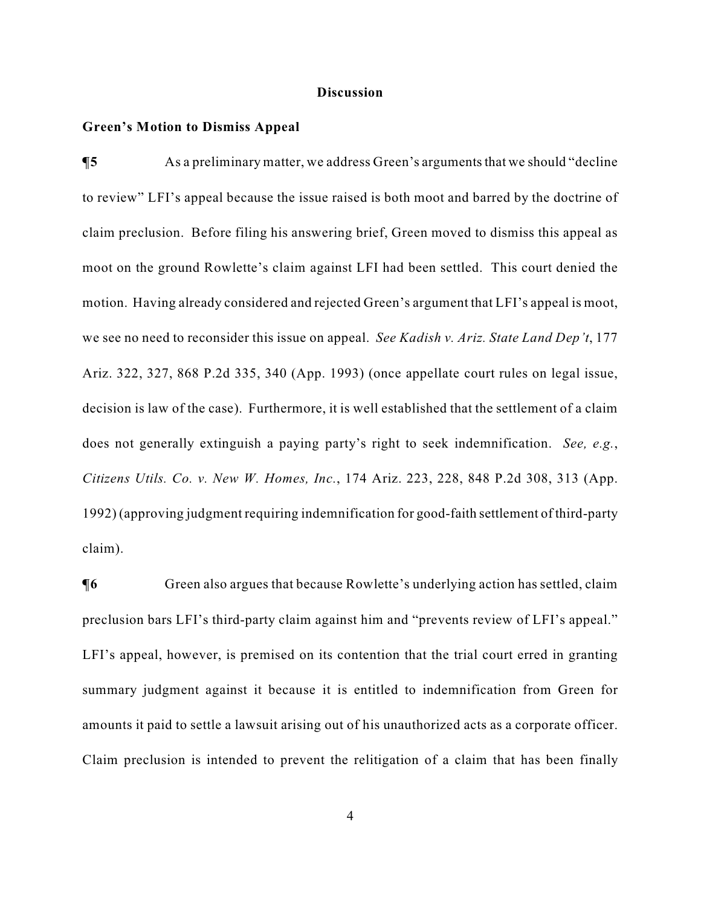#### **Discussion**

### **Green's Motion to Dismiss Appeal**

**¶5** As a preliminary matter, we address Green's arguments that we should "decline to review" LFI's appeal because the issue raised is both moot and barred by the doctrine of claim preclusion. Before filing his answering brief, Green moved to dismiss this appeal as moot on the ground Rowlette's claim against LFI had been settled. This court denied the motion. Having already considered and rejected Green's argument that LFI's appeal is moot, we see no need to reconsider this issue on appeal. *See Kadish v. Ariz. State Land Dep't*, 177 Ariz. 322, 327, 868 P.2d 335, 340 (App. 1993) (once appellate court rules on legal issue, decision is law of the case). Furthermore, it is well established that the settlement of a claim does not generally extinguish a paying party's right to seek indemnification. *See, e.g.*, *Citizens Utils. Co. v. New W. Homes, Inc.*, 174 Ariz. 223, 228, 848 P.2d 308, 313 (App. 1992) (approving judgment requiring indemnification for good-faith settlement of third-party claim).

 $\P6$  Green also argues that because Rowlette's underlying action has settled, claim preclusion bars LFI's third-party claim against him and "prevents review of LFI's appeal." LFI's appeal, however, is premised on its contention that the trial court erred in granting summary judgment against it because it is entitled to indemnification from Green for amounts it paid to settle a lawsuit arising out of his unauthorized acts as a corporate officer. Claim preclusion is intended to prevent the relitigation of a claim that has been finally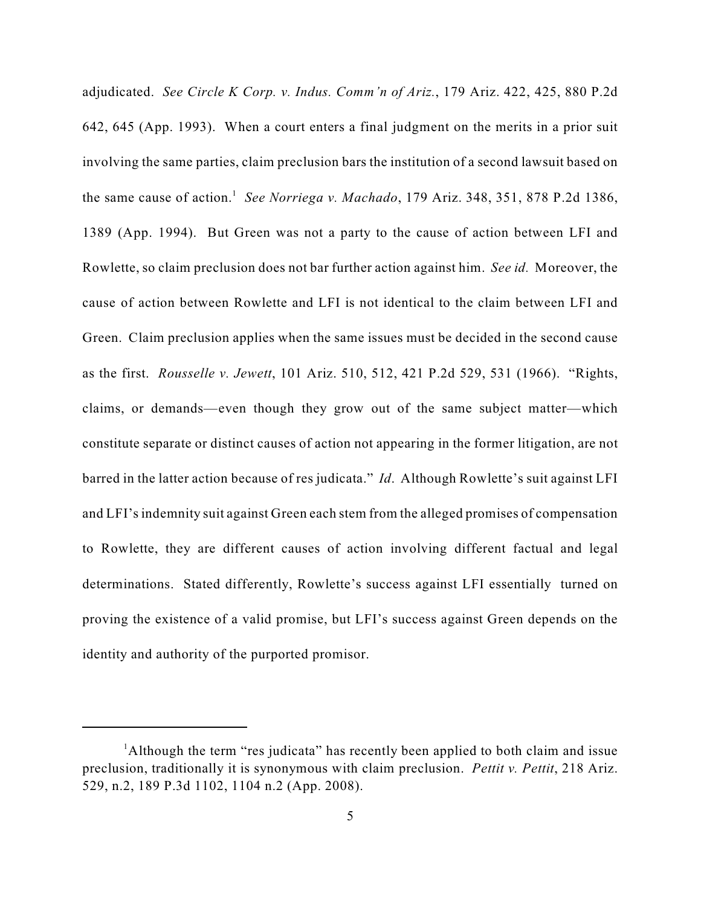adjudicated. *See Circle K Corp. v. Indus. Comm'n of Ariz.*, 179 Ariz. 422, 425, 880 P.2d 642, 645 (App. 1993). When a court enters a final judgment on the merits in a prior suit involving the same parties, claim preclusion bars the institution of a second lawsuit based on the same cause of action.<sup>1</sup> See Norriega v. Machado, 179 Ariz. 348, 351, 878 P.2d 1386, 1389 (App. 1994). But Green was not a party to the cause of action between LFI and Rowlette, so claim preclusion does not bar further action against him. *See id.* Moreover, the cause of action between Rowlette and LFI is not identical to the claim between LFI and Green. Claim preclusion applies when the same issues must be decided in the second cause as the first. *Rousselle v. Jewett*, 101 Ariz. 510, 512, 421 P.2d 529, 531 (1966). "Rights, claims, or demands—even though they grow out of the same subject matter—which constitute separate or distinct causes of action not appearing in the former litigation, are not barred in the latter action because of res judicata." *Id*. Although Rowlette's suit against LFI and LFI's indemnity suit against Green each stem from the alleged promises of compensation to Rowlette, they are different causes of action involving different factual and legal determinations. Stated differently, Rowlette's success against LFI essentially turned on proving the existence of a valid promise, but LFI's success against Green depends on the identity and authority of the purported promisor.

<sup>&</sup>lt;sup>1</sup>Although the term "res judicata" has recently been applied to both claim and issue preclusion, traditionally it is synonymous with claim preclusion. *Pettit v. Pettit*, 218 Ariz. 529, n.2, 189 P.3d 1102, 1104 n.2 (App. 2008).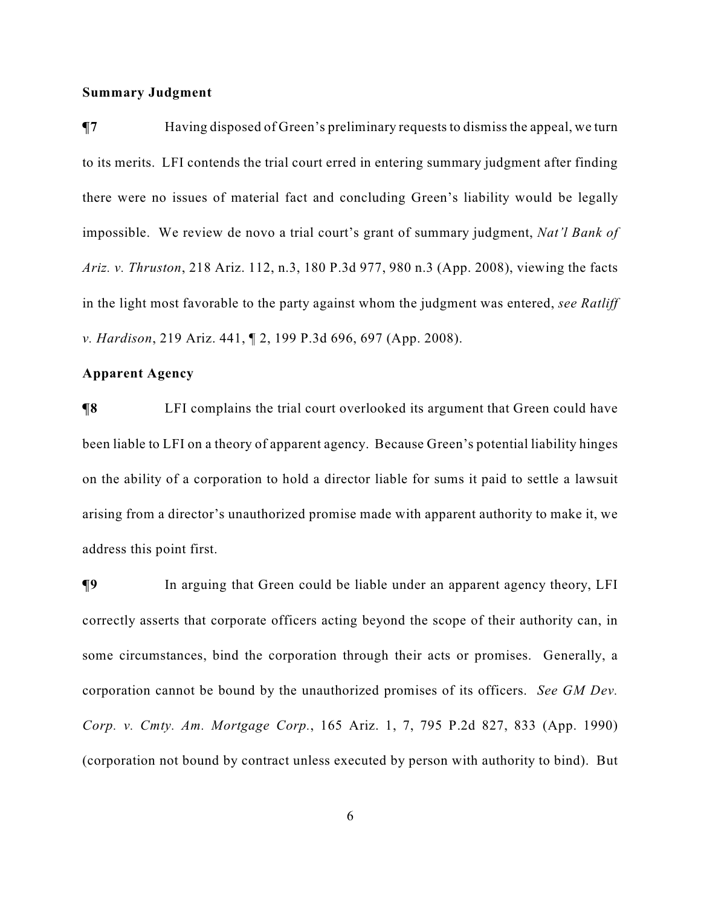### **Summary Judgment**

**¶7** Having disposed of Green's preliminary requests to dismiss the appeal, we turn to its merits. LFI contends the trial court erred in entering summary judgment after finding there were no issues of material fact and concluding Green's liability would be legally impossible. We review de novo a trial court's grant of summary judgment, *Nat'l Bank of Ariz. v. Thruston*, 218 Ariz. 112, n.3, 180 P.3d 977, 980 n.3 (App. 2008), viewing the facts in the light most favorable to the party against whom the judgment was entered, *see Ratliff v. Hardison*, 219 Ariz. 441, ¶ 2, 199 P.3d 696, 697 (App. 2008).

## **Apparent Agency**

**¶8** LFI complains the trial court overlooked its argument that Green could have been liable to LFI on a theory of apparent agency. Because Green's potential liability hinges on the ability of a corporation to hold a director liable for sums it paid to settle a lawsuit arising from a director's unauthorized promise made with apparent authority to make it, we address this point first.

**¶9** In arguing that Green could be liable under an apparent agency theory, LFI correctly asserts that corporate officers acting beyond the scope of their authority can, in some circumstances, bind the corporation through their acts or promises. Generally, a corporation cannot be bound by the unauthorized promises of its officers. *See GM Dev. Corp. v. Cmty. Am. Mortgage Corp.*, 165 Ariz. 1, 7, 795 P.2d 827, 833 (App. 1990) (corporation not bound by contract unless executed by person with authority to bind). But

6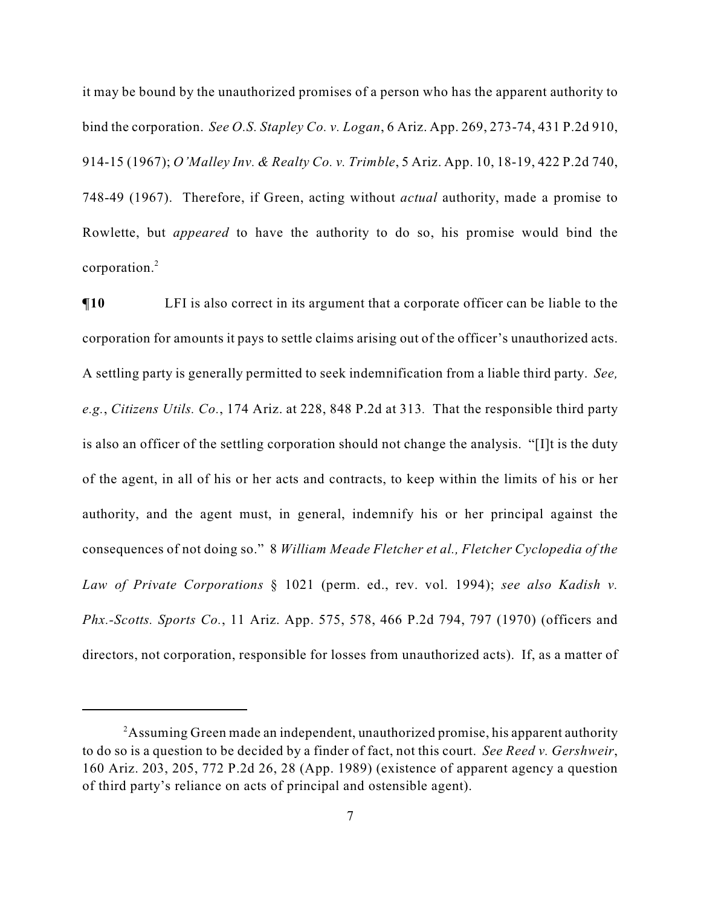it may be bound by the unauthorized promises of a person who has the apparent authority to bind the corporation. *See O.S. Stapley Co. v. Logan*, 6 Ariz. App. 269, 273-74, 431 P.2d 910, 914-15 (1967); *O'Malley Inv. & Realty Co. v. Trimble*, 5 Ariz. App. 10, 18-19, 422 P.2d 740, 748-49 (1967). Therefore, if Green, acting without *actual* authority, made a promise to Rowlette, but *appeared* to have the authority to do so, his promise would bind the corporation.<sup>2</sup>

 $\P$ **10** LFI is also correct in its argument that a corporate officer can be liable to the corporation for amounts it pays to settle claims arising out of the officer's unauthorized acts. A settling party is generally permitted to seek indemnification from a liable third party. *See, e.g.*, *Citizens Utils. Co.*, 174 Ariz. at 228, 848 P.2d at 313*.* That the responsible third party is also an officer of the settling corporation should not change the analysis. "[I]t is the duty of the agent, in all of his or her acts and contracts, to keep within the limits of his or her authority, and the agent must, in general, indemnify his or her principal against the consequences of not doing so." 8 *William Meade Fletcher et al., Fletcher Cyclopedia of the Law of Private Corporations* § 1021 (perm. ed., rev. vol. 1994); *see also Kadish v. Phx.-Scotts. Sports Co.*, 11 Ariz. App. 575, 578, 466 P.2d 794, 797 (1970) (officers and directors, not corporation, responsible for losses from unauthorized acts). If, as a matter of

<sup>&</sup>lt;sup>2</sup>Assuming Green made an independent, unauthorized promise, his apparent authority to do so is a question to be decided by a finder of fact, not this court. *See Reed v. Gershweir*, 160 Ariz. 203, 205, 772 P.2d 26, 28 (App. 1989) (existence of apparent agency a question of third party's reliance on acts of principal and ostensible agent).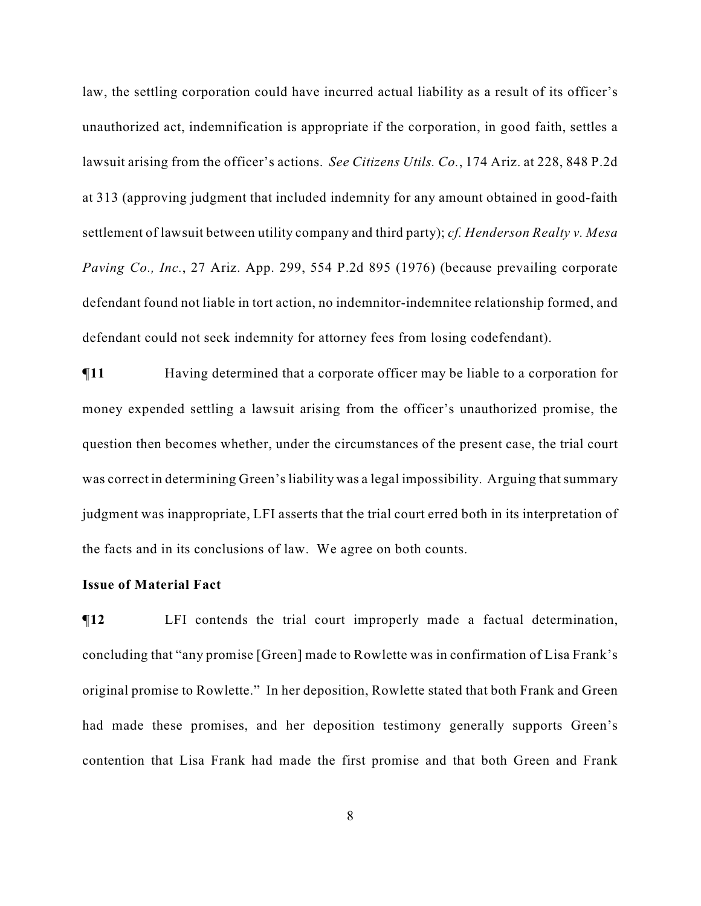law, the settling corporation could have incurred actual liability as a result of its officer's unauthorized act, indemnification is appropriate if the corporation, in good faith, settles a lawsuit arising from the officer's actions. *See Citizens Utils. Co.*, 174 Ariz. at 228, 848 P.2d at 313 (approving judgment that included indemnity for any amount obtained in good-faith settlement of lawsuit between utility company and third party); *cf. Henderson Realty v. Mesa Paving Co., Inc.*, 27 Ariz. App. 299, 554 P.2d 895 (1976) (because prevailing corporate defendant found not liable in tort action, no indemnitor-indemnitee relationship formed, and defendant could not seek indemnity for attorney fees from losing codefendant).

**¶11** Having determined that a corporate officer may be liable to a corporation for money expended settling a lawsuit arising from the officer's unauthorized promise, the question then becomes whether, under the circumstances of the present case, the trial court was correct in determining Green's liability was a legal impossibility. Arguing that summary judgment was inappropriate, LFI asserts that the trial court erred both in its interpretation of the facts and in its conclusions of law. We agree on both counts.

#### **Issue of Material Fact**

 $\P$ **12** LFI contends the trial court improperly made a factual determination, concluding that "any promise [Green] made to Rowlette was in confirmation of Lisa Frank's original promise to Rowlette." In her deposition, Rowlette stated that both Frank and Green had made these promises, and her deposition testimony generally supports Green's contention that Lisa Frank had made the first promise and that both Green and Frank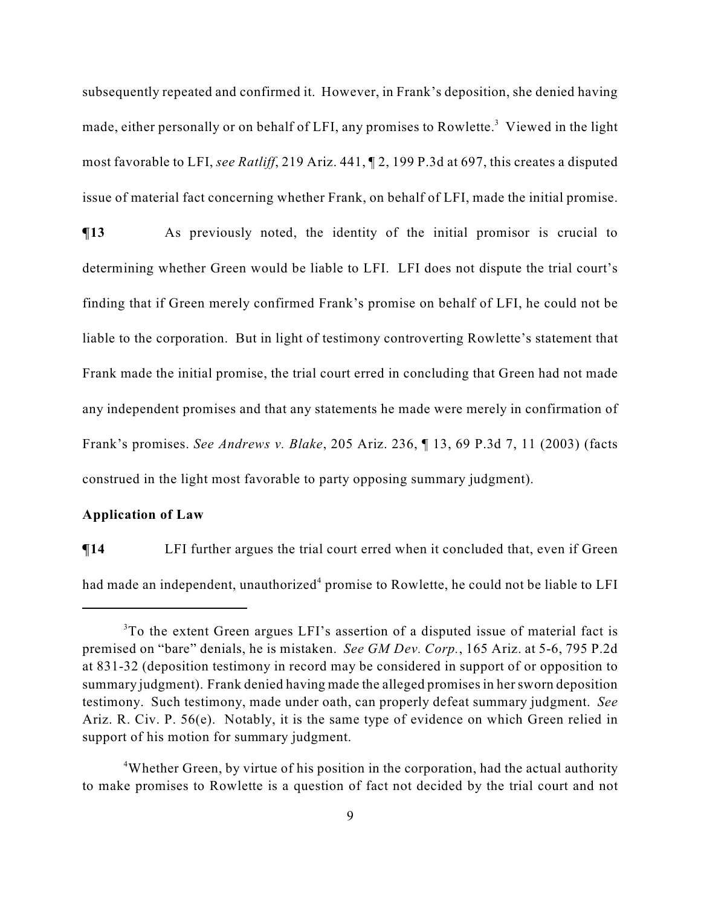subsequently repeated and confirmed it. However, in Frank's deposition, she denied having made, either personally or on behalf of LFI, any promises to Rowlette.<sup>3</sup> Viewed in the light most favorable to LFI, *see Ratliff*, 219 Ariz. 441, ¶ 2, 199 P.3d at 697, this creates a disputed issue of material fact concerning whether Frank, on behalf of LFI, made the initial promise.

**¶13** As previously noted, the identity of the initial promisor is crucial to determining whether Green would be liable to LFI. LFI does not dispute the trial court's finding that if Green merely confirmed Frank's promise on behalf of LFI, he could not be liable to the corporation. But in light of testimony controverting Rowlette's statement that Frank made the initial promise, the trial court erred in concluding that Green had not made any independent promises and that any statements he made were merely in confirmation of Frank's promises. *See Andrews v. Blake*, 205 Ariz. 236, ¶ 13, 69 P.3d 7, 11 (2003) (facts construed in the light most favorable to party opposing summary judgment).

### **Application of Law**

**¶14** LFI further argues the trial court erred when it concluded that, even if Green had made an independent, unauthorized<sup>4</sup> promise to Rowlette, he could not be liable to LFI

<sup>&</sup>lt;sup>3</sup>To the extent Green argues LFI's assertion of a disputed issue of material fact is premised on "bare" denials, he is mistaken. *See GM Dev. Corp.*, 165 Ariz. at 5-6, 795 P.2d at 831-32 (deposition testimony in record may be considered in support of or opposition to summary judgment). Frank denied having made the alleged promises in her sworn deposition testimony. Such testimony, made under oath, can properly defeat summary judgment. *See* Ariz. R. Civ. P. 56(e). Notably, it is the same type of evidence on which Green relied in support of his motion for summary judgment.

<sup>&</sup>lt;sup>4</sup>Whether Green, by virtue of his position in the corporation, had the actual authority to make promises to Rowlette is a question of fact not decided by the trial court and not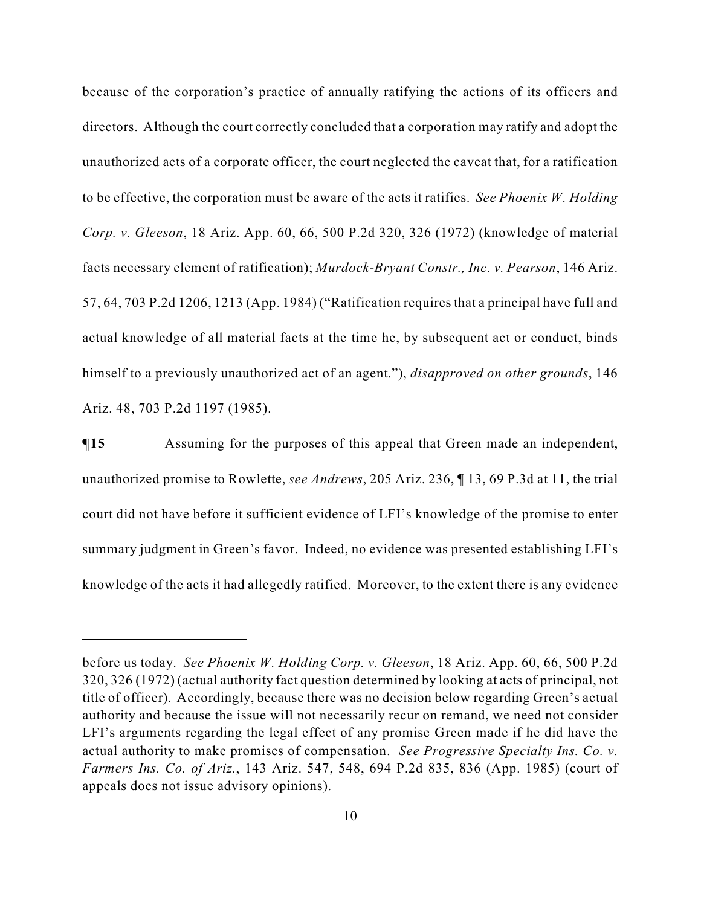because of the corporation's practice of annually ratifying the actions of its officers and directors. Although the court correctly concluded that a corporation may ratify and adopt the unauthorized acts of a corporate officer, the court neglected the caveat that, for a ratification to be effective, the corporation must be aware of the acts it ratifies. *See Phoenix W. Holding Corp. v. Gleeson*, 18 Ariz. App. 60, 66, 500 P.2d 320, 326 (1972) (knowledge of material facts necessary element of ratification); *Murdock-Bryant Constr., Inc. v. Pearson*, 146 Ariz. 57, 64, 703 P.2d 1206, 1213 (App. 1984) ("Ratification requires that a principal have full and actual knowledge of all material facts at the time he, by subsequent act or conduct, binds himself to a previously unauthorized act of an agent."), *disapproved on other grounds*, 146 Ariz. 48, 703 P.2d 1197 (1985).

**¶15** Assuming for the purposes of this appeal that Green made an independent, unauthorized promise to Rowlette, *see Andrews*, 205 Ariz. 236, ¶ 13, 69 P.3d at 11, the trial court did not have before it sufficient evidence of LFI's knowledge of the promise to enter summary judgment in Green's favor. Indeed, no evidence was presented establishing LFI's knowledge of the acts it had allegedly ratified. Moreover, to the extent there is any evidence

before us today. *See Phoenix W. Holding Corp. v. Gleeson*, 18 Ariz. App. 60, 66, 500 P.2d 320, 326 (1972) (actual authority fact question determined by looking at acts of principal, not title of officer). Accordingly, because there was no decision below regarding Green's actual authority and because the issue will not necessarily recur on remand, we need not consider LFI's arguments regarding the legal effect of any promise Green made if he did have the actual authority to make promises of compensation. *See Progressive Specialty Ins. Co. v. Farmers Ins. Co. of Ariz.*, 143 Ariz. 547, 548, 694 P.2d 835, 836 (App. 1985) (court of appeals does not issue advisory opinions).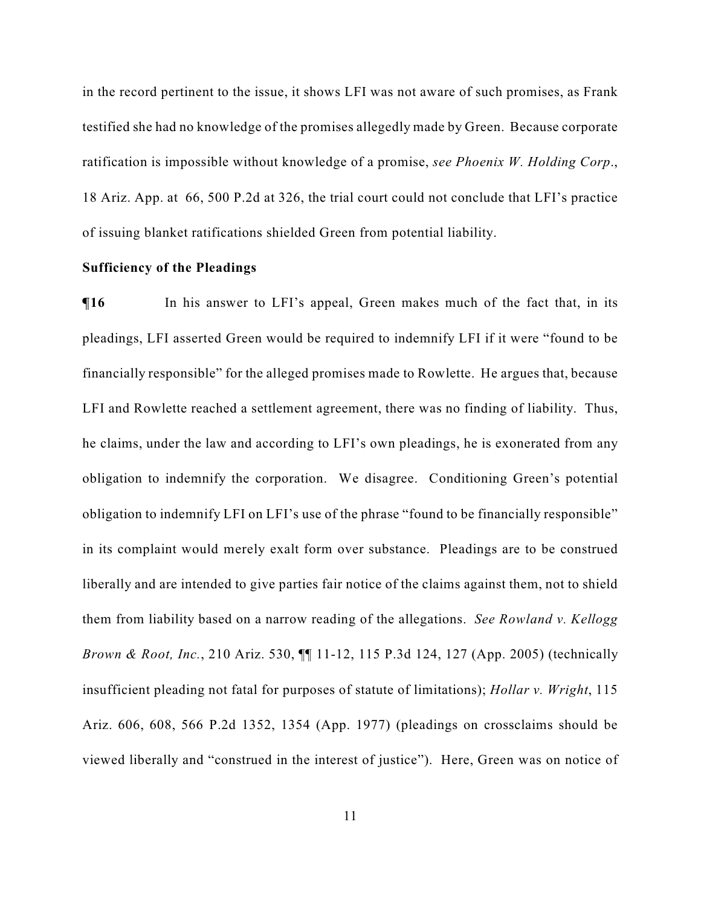in the record pertinent to the issue, it shows LFI was not aware of such promises, as Frank testified she had no knowledge of the promises allegedly made by Green. Because corporate ratification is impossible without knowledge of a promise, *see Phoenix W. Holding Corp*., 18 Ariz. App. at 66, 500 P.2d at 326, the trial court could not conclude that LFI's practice of issuing blanket ratifications shielded Green from potential liability.

## **Sufficiency of the Pleadings**

 $\P$ **16** In his answer to LFI's appeal, Green makes much of the fact that, in its pleadings, LFI asserted Green would be required to indemnify LFI if it were "found to be financially responsible" for the alleged promises made to Rowlette. He argues that, because LFI and Rowlette reached a settlement agreement, there was no finding of liability. Thus, he claims, under the law and according to LFI's own pleadings, he is exonerated from any obligation to indemnify the corporation. We disagree. Conditioning Green's potential obligation to indemnify LFI on LFI's use of the phrase "found to be financially responsible" in its complaint would merely exalt form over substance. Pleadings are to be construed liberally and are intended to give parties fair notice of the claims against them, not to shield them from liability based on a narrow reading of the allegations. *See Rowland v. Kellogg Brown & Root, Inc.*, 210 Ariz. 530, ¶¶ 11-12, 115 P.3d 124, 127 (App. 2005) (technically insufficient pleading not fatal for purposes of statute of limitations); *Hollar v. Wright*, 115 Ariz. 606, 608, 566 P.2d 1352, 1354 (App. 1977) (pleadings on crossclaims should be viewed liberally and "construed in the interest of justice"). Here, Green was on notice of